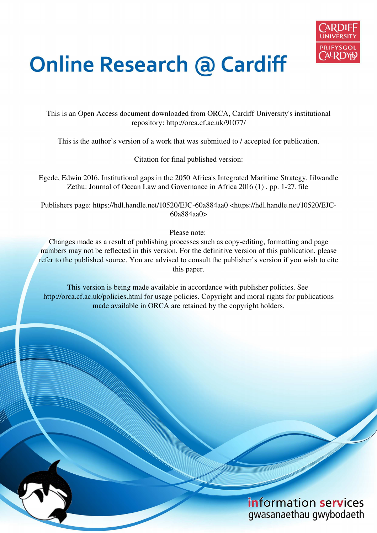

# **Online Research @ Cardiff**

This is an Open Access document downloaded from ORCA, Cardiff University's institutional repository: http://orca.cf.ac.uk/91077/

This is the author's version of a work that was submitted to / accepted for publication.

Citation for final published version:

Egede, Edwin 2016. Institutional gaps in the 2050 Africa's Integrated Maritime Strategy. Iilwandle Zethu: Journal of Ocean Law and Governance in Africa 2016 (1) , pp. 1-27. file

Publishers page: https://hdl.handle.net/10520/EJC-60a884aa0 <https://hdl.handle.net/10520/EJC-60a884aa0>

Please note:

Changes made as a result of publishing processes such as copy-editing, formatting and page numbers may not be reflected in this version. For the definitive version of this publication, please refer to the published source. You are advised to consult the publisher's version if you wish to cite this paper.

This version is being made available in accordance with publisher policies. See http://orca.cf.ac.uk/policies.html for usage policies. Copyright and moral rights for publications made available in ORCA are retained by the copyright holders.

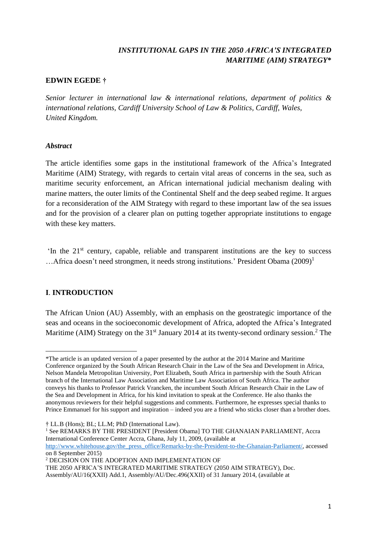## *INSTITUTIONAL GAPS IN THE 2050 AFRICA'S INTEGRATED MARITIME (AIM) STRATEGY***\***

## **EDWIN EGEDE †**

*Senior lecturer in international law & international relations, department of politics & international relations, Cardiff University School of Law & Politics, Cardiff, Wales, United Kingdom.* 

## *Abstract*

The article identifies some gaps in the institutional framework of the Africa's Integrated Maritime (AIM) Strategy, with regards to certain vital areas of concerns in the sea, such as maritime security enforcement, an African international judicial mechanism dealing with marine matters, the outer limits of the Continental Shelf and the deep seabed regime. It argues for a reconsideration of the AIM Strategy with regard to these important law of the sea issues and for the provision of a clearer plan on putting together appropriate institutions to engage with these key matters.

'In the 21<sup>st</sup> century, capable, reliable and transparent institutions are the key to success ...Africa doesn't need strongmen, it needs strong institutions.' President Obama  $(2009)^1$ 

## **I**. **INTRODUCTION**

The African Union (AU) Assembly, with an emphasis on the geostrategic importance of the seas and oceans in the socioeconomic development of Africa, adopted the Africa's Integrated Maritime (AIM) Strategy on the  $31<sup>st</sup>$  January 2014 at its twenty-second ordinary session.<sup>2</sup> The

† LL.B (Hons); BL; LL.M; PhD (International Law).

<sup>1</sup> See REMARKS BY THE PRESIDENT [President Obama] TO THE GHANAIAN PARLIAMENT, Accra International Conference Center Accra, Ghana, July 11, 2009, (available at

[http://www.whitehouse.gov/the\\_press\\_office/Remarks-by-the-President-to-the-Ghanaian-Parliament/,](http://www.whitehouse.gov/the_press_office/Remarks-by-the-President-to-the-Ghanaian-Parliament/) accessed on 8 September 2015)

2 DECISION ON THE ADOPTION AND IMPLEMENTATION OF

THE 2050 AFRICA'S INTEGRATED MARITIME STRATEGY (2050 AIM STRATEGY), Doc. Assembly/AU/16(XXII) Add.1, Assembly/AU/Dec.496(XXII) of 31 January 2014, (available at

 $\overline{a}$ \*The article is an updated version of a paper presented by the author at the 2014 Marine and Maritime Conference organized by the South African Research Chair in the Law of the Sea and Development in Africa, Nelson Mandela Metropolitan University, Port Elizabeth, South Africa in partnership with the South African branch of the International Law Association and Maritime Law Association of South Africa. The author conveys his thanks to Professor Patrick Vrancken, the incumbent South African Research Chair in the Law of the Sea and Development in Africa, for his kind invitation to speak at the Conference. He also thanks the anonymous reviewers for their helpful suggestions and comments. Furthermore, he expresses special thanks to Prince Emmanuel for his support and inspiration – indeed you are a friend who sticks closer than a brother does.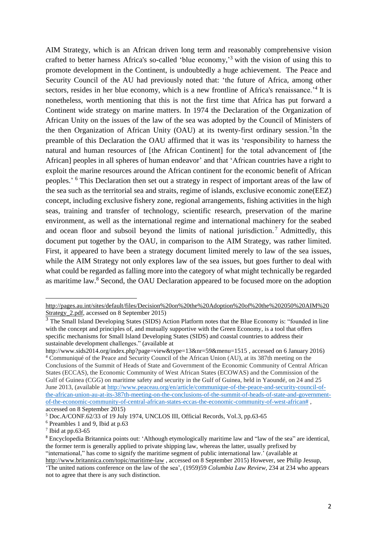AIM Strategy, which is an African driven long term and reasonably comprehensive vision crafted to better harness Africa's so-called 'blue economy,' 3 with the vision of using this to promote development in the Continent, is undoubtedly a huge achievement. The Peace and Security Council of the AU had previously noted that: 'the future of Africa, among other sectors, resides in her blue economy, which is a new frontline of Africa's renaissance.<sup>4</sup> It is nonetheless, worth mentioning that this is not the first time that Africa has put forward a Continent wide strategy on marine matters. In 1974 the Declaration of the Organization of African Unity on the issues of the law of the sea was adopted by the Council of Ministers of the then Organization of African Unity (OAU) at its twenty-first ordinary session.<sup>5</sup>In the preamble of this Declaration the OAU affirmed that it was its 'responsibility to harness the natural and human resources of [the African Continent] for the total advancement of [the African] peoples in all spheres of human endeavor' and that 'African countries have a right to exploit the marine resources around the African continent for the economic benefit of African peoples.<sup>5</sup> This Declaration then set out a strategy in respect of important areas of the law of the sea such as the territorial sea and straits, regime of islands, exclusive economic zone(EEZ) concept, including exclusive fishery zone, regional arrangements, fishing activities in the high seas, training and transfer of technology, scientific research, preservation of the marine environment, as well as the international regime and international machinery for the seabed and ocean floor and subsoil beyond the limits of national jurisdiction.<sup>7</sup> Admittedly, this document put together by the OAU, in comparison to the AIM Strategy, was rather limited. First, it appeared to have been a strategy document limited merely to law of the sea issues, while the AIM Strategy not only explores law of the sea issues, but goes further to deal with what could be regarded as falling more into the category of what might technically be regarded as maritime law.<sup>8</sup> Second, the OAU Declaration appeared to be focused more on the adoption

[http://pages.au.int/sites/default/files/Decision%20on%20the%20Adoption%20of%20the%202050%20AIM%20](http://pages.au.int/sites/default/files/Decision%20on%20the%20Adoption%20of%20the%202050%20AIM%20Strategy_2.pdf) Strategy 2.pdf, accessed on 8 September 2015)

<sup>&</sup>lt;sup>3</sup> The Small Island Developing States (SIDS) Action Platform notes that the Blue Economy is: "founded in line with the concept and principles of, and mutually supportive with the Green Economy, is a tool that offers specific mechanisms for Small Island Developing States (SIDS) and coastal countries to address their sustainable development challenges." (available at

http://www.sids2014.org/index.php?page=view&type=13&nr=59&menu=1515, accessed on 6 January 2016) <sup>4</sup> [Communiqué of the Peace and Security Council of the African Union \(AU\), at](http://www.peaceau.org/en/article/communique-of-the-peace-and-security-council-of-the-african-union-au-at-its-387th-meeting-on-the-conclusions-of-the-summit-of-heads-of-state-and-government-of-the-economic-community-of-central-african-states-eccas-the-economic-community-of-west-african) its 387th meeting on the [Conclusions of the Summit of Heads of State and Government of the Economic Community of Central African](http://www.peaceau.org/en/article/communique-of-the-peace-and-security-council-of-the-african-union-au-at-its-387th-meeting-on-the-conclusions-of-the-summit-of-heads-of-state-and-government-of-the-economic-community-of-central-african-states-eccas-the-economic-community-of-west-african)  [States \(ECCAS\), the Economic Community of West African States \(ECOWAS\) and the Commission of the](http://www.peaceau.org/en/article/communique-of-the-peace-and-security-council-of-the-african-union-au-at-its-387th-meeting-on-the-conclusions-of-the-summit-of-heads-of-state-and-government-of-the-economic-community-of-central-african-states-eccas-the-economic-community-of-west-african)  [Gulf of Guinea \(CGG\) on maritime safety and security in the Gulf of Guinea, held in Yaoundé, on](http://www.peaceau.org/en/article/communique-of-the-peace-and-security-council-of-the-african-union-au-at-its-387th-meeting-on-the-conclusions-of-the-summit-of-heads-of-state-and-government-of-the-economic-community-of-central-african-states-eccas-the-economic-community-of-west-african) 24 and 25 [June 2013,](http://www.peaceau.org/en/article/communique-of-the-peace-and-security-council-of-the-african-union-au-at-its-387th-meeting-on-the-conclusions-of-the-summit-of-heads-of-state-and-government-of-the-economic-community-of-central-african-states-eccas-the-economic-community-of-west-african) (available at [http://www.peaceau.org/en/article/communique-of-the-peace-and-security-council-of](http://www.peaceau.org/en/article/communique-of-the-peace-and-security-council-of-the-african-union-au-at-its-387th-meeting-on-the-conclusions-of-the-summit-of-heads-of-state-and-government-of-the-economic-community-of-central-african-states-eccas-the-economic-community-of-west-african)[the-african-union-au-at-its-387th-meeting-on-the-conclusions-of-the-summit-of-heads-of-state-and-government](http://www.peaceau.org/en/article/communique-of-the-peace-and-security-council-of-the-african-union-au-at-its-387th-meeting-on-the-conclusions-of-the-summit-of-heads-of-state-and-government-of-the-economic-community-of-central-african-states-eccas-the-economic-community-of-west-african)[of-the-economic-community-of-central-african-states-eccas-the-economic-community-of-west-african#](http://www.peaceau.org/en/article/communique-of-the-peace-and-security-council-of-the-african-union-au-at-its-387th-meeting-on-the-conclusions-of-the-summit-of-heads-of-state-and-government-of-the-economic-community-of-central-african-states-eccas-the-economic-community-of-west-african) , accessed on 8 September 2015)

<sup>5</sup> Doc.A/CONF.62/33 of 19 July 1974, UNCLOS III, Official Records, Vol.3, pp.63-65

<sup>6</sup> Preambles 1 and 9, Ibid at p.63

 $7$  Ibid at pp.63-65

<sup>8</sup> Encyclopedia Britannica points out: 'Although etymologically maritime law and "[law of the sea](http://www.britannica.com/topic/Law-of-the-Sea)" are identical, the former term is generally applied to privat[e shipping](http://www.britannica.com/technology/shipping-water-transportation) [law,](http://www.britannica.com/topic/law) whereas the latter, usually prefixed by "international," has come to signify the maritime segment of public international law.' (available at <http://www.britannica.com/topic/maritime-law>, accessed on 8 September 2015) However, see Philip Jessup,

<sup>&#</sup>x27;The united nations conference on the law of the sea', (1959)59 *Columbia Law Review*, 234 at 234 who appears not to agree that there is any such distinction.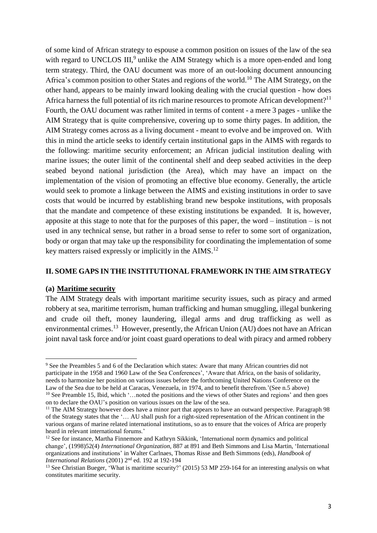of some kind of African strategy to espouse a common position on issues of the law of the sea with regard to UNCLOS III,<sup>9</sup> unlike the AIM Strategy which is a more open-ended and long term strategy. Third, the OAU document was more of an out-looking document announcing Africa's common position to other States and regions of the world.<sup>10</sup> The AIM Strategy, on the other hand, appears to be mainly inward looking dealing with the crucial question - how does Africa harness the full potential of its rich marine resources to promote African development?<sup>11</sup> Fourth, the OAU document was rather limited in terms of content - a mere 3 pages - unlike the AIM Strategy that is quite comprehensive, covering up to some thirty pages. In addition, the AIM Strategy comes across as a living document - meant to evolve and be improved on. With this in mind the article seeks to identify certain institutional gaps in the AIMS with regards to the following: maritime security enforcement; an African judicial institution dealing with marine issues; the outer limit of the continental shelf and deep seabed activities in the deep seabed beyond national jurisdiction (the Area), which may have an impact on the implementation of the vision of promoting an effective blue economy. Generally, the article would seek to promote a linkage between the AIMS and existing institutions in order to save costs that would be incurred by establishing brand new bespoke institutions, with proposals that the mandate and competence of these existing institutions be expanded. It is, however, apposite at this stage to note that for the purposes of this paper, the word – institution – is not used in any technical sense, but rather in a broad sense to refer to some sort of organization, body or organ that may take up the responsibility for coordinating the implementation of some key matters raised expressly or implicitly in the AIMS.<sup>12</sup>

### **II. SOME GAPS IN THE INSTITUTIONAL FRAMEWORK IN THE AIM STRATEGY**

#### **(a) Maritime security**

The AIM Strategy deals with important maritime security issues, such as piracy and armed robbery at sea, maritime terrorism, human trafficking and human smuggling, illegal bunkering and crude oil theft, money laundering, illegal arms and drug trafficking as well as environmental crimes.<sup>13</sup> However, presently, the African Union (AU) does not have an African joint naval task force and/or joint coast guard operations to deal with piracy and armed robbery

 $\overline{a}$ <sup>9</sup> See the Preambles 5 and 6 of the Declaration which states: Aware that many African countries did not participate in the 1958 and 1960 Law of the Sea Conferences', 'Aware that Africa, on the basis of solidarity, needs to harmonize her position on various issues before the forthcoming United Nations Conference on the Law of the Sea due to be held at Caracas, Venezuela, in 1974, and to benefit therefrom.'(See n.5 above)

<sup>&</sup>lt;sup>10</sup> See Preamble 15, Ibid, which '...noted the positions and the views of other States and regions' and then goes on to declare the OAU's position on various issues on the law of the sea.

<sup>&</sup>lt;sup>11</sup> The AIM Strategy however does have a minor part that appears to have an outward perspective. Paragraph 98 of the Strategy states that the '… AU shall push for a right-sized representation of the African continent in the various organs of marine related international institutions, so as to ensure that the voices of Africa are properly heard in relevant international forums.'

<sup>&</sup>lt;sup>12</sup> See for instance, Martha Finnemore and Kathryn Sikkink, 'International norm dynamics and political change', (1998)52(4) *International Organization*, 887 at 891 and Beth Simmons and Lisa Martin, 'International organizations and institutions' in Walter Carlnaes, Thomas Risse and Beth Simmons (eds), *Handbook of International Relations* (2001) 2nd ed. 192 at 192-194

<sup>&</sup>lt;sup>13</sup> See Christian Bueger, 'What is maritime security?' (2015) 53 MP 259-164 for an interesting analysis on what constitutes maritime security.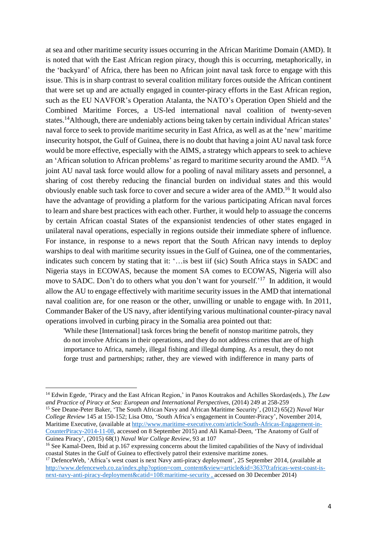at sea and other maritime security issues occurring in the African Maritime Domain (AMD). It is noted that with the East African region piracy, though this is occurring, metaphorically, in the 'backyard' of Africa, there has been no African joint naval task force to engage with this issue. This is in sharp contrast to several coalition military forces outside the African continent that were set up and are actually engaged in counter-piracy efforts in the East African region, such as the EU NAVFOR's Operation Atalanta, the NATO's Operation Open Shield and the Combined Maritime Forces, a US-led international naval coalition of twenty-seven states.<sup>14</sup>Although, there are undeniably actions being taken by certain individual African states' naval force to seek to provide maritime security in East Africa, as well as at the 'new' maritime insecurity hotspot, the Gulf of Guinea, there is no doubt that having a joint AU naval task force would be more effective, especially with the AIMS, a strategy which appears to seek to achieve an 'African solution to African problems' as regard to maritime security around the AMD. <sup>15</sup>A joint AU naval task force would allow for a pooling of naval military assets and personnel, a sharing of cost thereby reducing the financial burden on individual states and this would obviously enable such task force to cover and secure a wider area of the AMD.<sup>16</sup> It would also have the advantage of providing a platform for the various participating African naval forces to learn and share best practices with each other. Further, it would help to assuage the concerns by certain African coastal States of the expansionist tendencies of other states engaged in unilateral naval operations, especially in regions outside their immediate sphere of influence. For instance, in response to a news report that the South African navy intends to deploy warships to deal with maritime security issues in the Gulf of Guinea, one of the commentaries, indicates such concern by stating that it: '…is best iif (sic) South Africa stays in SADC and Nigeria stays in ECOWAS, because the moment SA comes to ECOWAS, Nigeria will also move to SADC. Don't do to others what you don't want for yourself.<sup>217</sup> In addition, it would allow the AU to engage effectively with maritime security issues in the AMD that international naval coalition are, for one reason or the other, unwilling or unable to engage with. In 2011, Commander Baker of the US navy, after identifying various multinational counter-piracy naval operations involved in curbing piracy in the Somalia area pointed out that:

'While these [International] task forces bring the benefit of nonstop maritime patrols, they do not involve Africans in their operations, and they do not address crimes that are of high importance to Africa, namely, illegal fishing and illegal dumping. As a result, they do not forge trust and partnerships; rather, they are viewed with indifference in many parts of

 $\overline{a}$ 

<sup>15</sup> See Deane-Peter Baker, 'The South African Navy and African Maritime Security', (2012) 65(2) *Naval War College Review* 145 at 150-152; Lisa Otto, 'South Africa's engagement in Counter-Piracy', November 2014, Maritime Executive, (available at [http://www.maritime-executive.com/article/South-Africas-Engagement-in-](http://www.maritime-executive.com/article/South-Africas-Engagement-in-CounterPiracy-2014-11-08)[CounterPiracy-2014-11-08,](http://www.maritime-executive.com/article/South-Africas-Engagement-in-CounterPiracy-2014-11-08) accessed on 8 September 2015) and Ali Kamal-Deen, 'The Anatomy of Gulf of Guinea Piracy', (2015) 68(1) *Naval War College Review,* 93 at 107

<sup>14</sup> Edwin Egede, 'Piracy and the East African Region,' in Panos Koutrakos and Achilles Skordas(eds.), *The Law and Practice of Piracy at Sea: European and International Perspectives*, (2014) 249 at 258-259

<sup>&</sup>lt;sup>16</sup> See Kamal-Deen, Ibid at p.167 expressing concerns about the limited capabilities of the Navy of individual coastal States in the Gulf of Guinea to effectively patrol their extensive maritime zones.

<sup>&</sup>lt;sup>17</sup> DefenceWeb, 'Africa's west coast is next Navy anti-piracy deployment', 25 September 2014, (available at [http://www.defenceweb.co.za/index.php?option=com\\_content&view=article&id=36370:africas-west-coast-is](http://www.defenceweb.co.za/index.php?option=com_content&view=article&id=36370:africas-west-coast-is-next-navy-anti-piracy-deployment&catid=108:maritime-security)[next-navy-anti-piracy-deployment&catid=108:maritime-security](http://www.defenceweb.co.za/index.php?option=com_content&view=article&id=36370:africas-west-coast-is-next-navy-anti-piracy-deployment&catid=108:maritime-security) , accessed on 30 December 2014)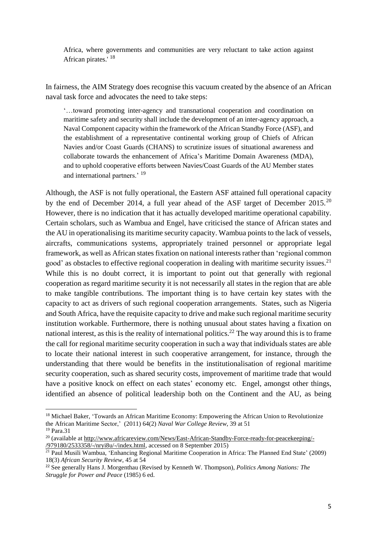Africa, where governments and communities are very reluctant to take action against African pirates.'<sup>18</sup>

In fairness, the AIM Strategy does recognise this vacuum created by the absence of an African naval task force and advocates the need to take steps:

'…toward promoting inter-agency and transnational cooperation and coordination on maritime safety and security shall include the development of an inter-agency approach, a Naval Component capacity within the framework of the African Standby Force (ASF), and the establishment of a representative continental working group of Chiefs of African Navies and/or Coast Guards (CHANS) to scrutinize issues of situational awareness and collaborate towards the enhancement of Africa's Maritime Domain Awareness (MDA), and to uphold cooperative efforts between Navies/Coast Guards of the AU Member states and international partners.' <sup>19</sup>

Although, the ASF is not fully operational, the Eastern ASF attained full operational capacity by the end of December 2014, a full year ahead of the ASF target of December  $2015.^{20}$ However, there is no indication that it has actually developed maritime operational capability. Certain scholars, such as Wambua and Engel, have criticised the stance of African states and the AU in operationalising its maritime security capacity. Wambua points to the lack of vessels, aircrafts, communications systems, appropriately trained personnel or appropriate legal framework, as well as African states fixation on national interests rather than 'regional common good' as obstacles to effective regional cooperation in dealing with maritime security issues.<sup>21</sup> While this is no doubt correct, it is important to point out that generally with regional cooperation as regard maritime security it is not necessarily all states in the region that are able to make tangible contributions. The important thing is to have certain key states with the capacity to act as drivers of such regional cooperation arrangements. States, such as Nigeria and South Africa, have the requisite capacity to drive and make such regional maritime security institution workable. Furthermore, there is nothing unusual about states having a fixation on national interest, as this is the reality of international politics.<sup>22</sup> The way around this is to frame the call for regional maritime security cooperation in such a way that individuals states are able to locate their national interest in such cooperative arrangement, for instance, through the understanding that there would be benefits in the institutionalisation of regional maritime security cooperation, such as shared security costs, improvement of maritime trade that would have a positive knock on effect on each states' economy etc. Engel, amongst other things, identified an absence of political leadership both on the Continent and the AU, as being

<sup>&</sup>lt;sup>18</sup> Michael Baker, 'Towards an African Maritime Economy: Empowering the African Union to Revolutionize the African Maritime Sector,' (2011) 64(2) *Naval War College Review*, 39 at 51 <sup>19</sup> Para.31

<sup>&</sup>lt;sup>20</sup> (available a[t http://www.africareview.com/News/East-African-Standby-Force-ready-for-peacekeeping/-](http://www.africareview.com/News/East-African-Standby-Force-ready-for-peacekeeping/-/979180/2533358/-/nryi8u/-/index.html) [/979180/2533358/-/nryi8u/-/index.html,](http://www.africareview.com/News/East-African-Standby-Force-ready-for-peacekeeping/-/979180/2533358/-/nryi8u/-/index.html) accessed on 8 September 2015)

<sup>&</sup>lt;sup>21</sup> Paul Musili Wambua, 'Enhancing Regional Maritime Cooperation in Africa: The Planned End State' (2009) 18(3) *African Security Review*, 45 at 54

<sup>22</sup> See generally Hans J. Morgenthau (Revised by Kenneth W. Thompson), *Politics Among Nations: The Struggle for Power and Peace* (1985) 6 ed.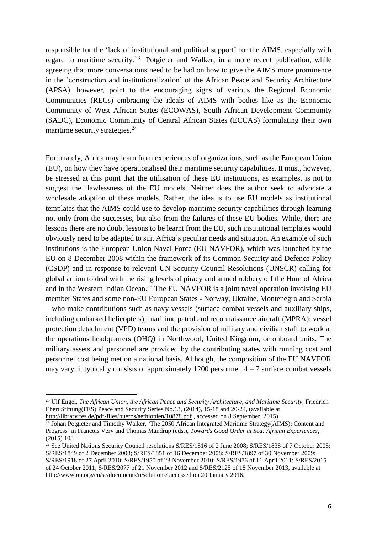responsible for the 'lack of institutional and political support' for the AIMS, especially with regard to maritime security.<sup>23</sup> Potgieter and Walker, in a more recent publication, while agreeing that more conversations need to be had on how to give the AIMS more prominence in the 'construction and institutionalization' of the African Peace and Security Architecture (APSA), however, point to the encouraging signs of various the Regional Economic Communities (RECs) embracing the ideals of AIMS with bodies like as the Economic Community of West African States (ECOWAS), South African Development Community (SADC), Economic Community of Central African States (ECCAS) formulating their own maritime security strategies.<sup>24</sup>

Fortunately, Africa may learn from experiences of organizations, such as the European Union (EU), on how they have operationalised their maritime security capabilities. It must, however, be stressed at this point that the utilisation of these EU institutions, as examples, is not to suggest the flawlessness of the EU models. Neither does the author seek to advocate a wholesale adoption of these models. Rather, the idea is to use EU models as institutional templates that the AIMS could use to develop maritime security capabilities through learning not only from the successes, but also from the failures of these EU bodies. While, there are lessons there are no doubt lessons to be learnt from the EU, such institutional templates would obviously need to be adapted to suit Africa's peculiar needs and situation. An example of such institutions is the European Union Naval Force (EU NAVFOR), which was launched by the EU on 8 December 2008 within the framework of its Common Security and Defence Policy (CSDP) and in response to relevant UN Security Council Resolutions (UNSCR) calling for global action to deal with the rising levels of piracy and armed robbery off the Horn of Africa and in the Western Indian Ocean.<sup>25</sup> The EU NAVFOR is a joint naval operation involving EU member States and some non-EU European States - Norway, Ukraine, Montenegro and Serbia – who make contributions such as navy vessels (surface combat vessels and auxiliary ships, including embarked helicopters); maritime patrol and reconnaissance aircraft (MPRA); vessel protection detachment (VPD) teams and the provision of military and civilian staff to work at the operations headquarters (OHQ) in Northwood, United Kingdom, or onboard units. The military assets and personnel are provided by the contributing states with running cost and personnel cost being met on a national basis. Although, the composition of the EU NAVFOR may vary, it typically consists of approximately 1200 personnel,  $4 - 7$  surface combat vessels

<sup>23</sup> Ulf Engel, *The African Union, the African Peace and Security Architecture, and Maritime Security*, Friedrich Ebert Stiftung(FES) Peace and Security Series No.13, (2014), 15-18 and 20-24, (available at <http://library.fes.de/pdf-files/bueros/aethiopien/10878.pdf>, accessed on 8 September, 2015)

<sup>&</sup>lt;sup>24</sup> Johan Potgieter and Timothy Walker, 'The 2050 African Integrated Maritime Strategy(AIMS); Content and Progress' in Francois Very and Thomas Mandrup (eds.), *Towards Good Order at Sea: African Experiences*, (2015) 108

<sup>&</sup>lt;sup>25</sup> See United Nations Security Council resolutions S/RES/1816 of 2 June 2008; S/RES/1838 of 7 October 2008; S/RES/1849 of 2 December 2008; S/RES/1851 of 16 December 2008; S/RES/1897 of 30 November 2009; S/RES/1918 of 27 April 2010; S/RES/1950 of 23 November 2010; S/RES/1976 of 11 April 2011; S/RES/2015 of 24 October 2011; S/RES/2077 of 21 November 2012 and S/RES/2125 of 18 November 2013, available at <http://www.un.org/en/sc/documents/resolutions/>accessed on 20 January 2016.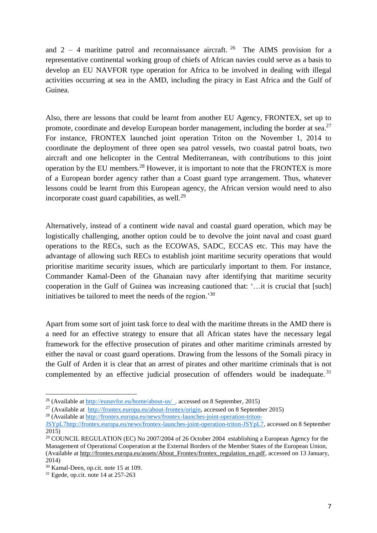and  $2 - 4$  maritime patrol and reconnaissance aircraft. <sup>26</sup> The AIMS provision for a representative continental working group of chiefs of African navies could serve as a basis to develop an EU NAVFOR type operation for Africa to be involved in dealing with illegal activities occurring at sea in the AMD, including the piracy in East Africa and the Gulf of Guinea.

Also, there are lessons that could be learnt from another EU Agency, FRONTEX, set up to promote, coordinate and develop European border management, including the border at sea.<sup>27</sup> For instance, FRONTEX launched joint operation Triton on the November 1, 2014 to coordinate the deployment of three open sea patrol vessels, two coastal patrol boats, two aircraft and one helicopter in the Central Mediterranean, with contributions to this joint operation by the EU members.<sup>28</sup> However, it is important to note that the FRONTEX is more of a European border agency rather than a Coast guard type arrangement. Thus, whatever lessons could be learnt from this European agency, the African version would need to also incorporate coast guard capabilities, as well.<sup>29</sup>

Alternatively, instead of a continent wide naval and coastal guard operation, which may be logistically challenging, another option could be to devolve the joint naval and coast guard operations to the RECs, such as the ECOWAS, SADC, ECCAS etc. This may have the advantage of allowing such RECs to establish joint maritime security operations that would prioritise maritime security issues, which are particularly important to them. For instance, Commander Kamal-Deen of the Ghanaian navy after identifying that maritime security cooperation in the Gulf of Guinea was increasing cautioned that: '…it is crucial that [such] initiatives be tailored to meet the needs of the region.'<sup>30</sup>

Apart from some sort of joint task force to deal with the maritime threats in the AMD there is a need for an effective strategy to ensure that all African states have the necessary legal framework for the effective prosecution of pirates and other maritime criminals arrested by either the naval or coast guard operations. Drawing from the lessons of the Somali piracy in the Gulf of Arden it is clear that an arrest of pirates and other maritime criminals that is not complemented by an effective judicial prosecution of offenders would be inadequate.<sup>31</sup>

<sup>&</sup>lt;sup>26</sup> (Available at http://eunavfor.eu/home/about-us/, accessed on 8 September, 2015)

<sup>&</sup>lt;sup>27</sup> (Available at  $\frac{http://frontex.europa.eu/about-frontex/origin, accessed on 8 September 2015)$ )

<sup>&</sup>lt;sup>28</sup> (Available at [http://frontex.europa.eu/news/frontex-launches-joint-operation-triton-](http://frontex.europa.eu/news/frontex-launches-joint-operation-triton-JSYpL7http:/frontex.europa.eu/news/frontex-launches-joint-operation-triton-JSYpL7)

[JSYpL7http://frontex.europa.eu/news/frontex-launches-joint-operation-triton-JSYpL7,](http://frontex.europa.eu/news/frontex-launches-joint-operation-triton-JSYpL7http:/frontex.europa.eu/news/frontex-launches-joint-operation-triton-JSYpL7) accessed on 8 September 2015)

<sup>&</sup>lt;sup>29</sup> COUNCIL REGULATION (EC) No 2007/2004 of 26 October 2004 establishing a European Agency for the Management of Operational Cooperation at the External Borders of the Member States of the European Union, (Available at [http://frontex.europa.eu/assets/About\\_Frontex/frontex\\_regulation\\_en.pdf,](http://frontex.europa.eu/assets/About_Frontex/frontex_regulation_en.pdf) accessed on 13 January, 2014)

<sup>30</sup> Kamal-Deen, op.cit. note 15 at 109.

 $31$  Egede, op.cit. note 14 at 257-263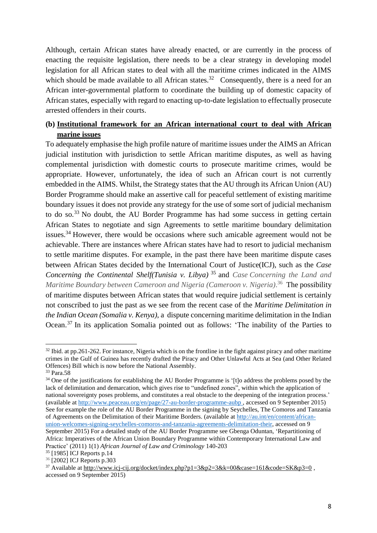Although, certain African states have already enacted, or are currently in the process of enacting the requisite legislation, there needs to be a clear strategy in developing model legislation for all African states to deal with all the maritime crimes indicated in the AIMS which should be made available to all African states.<sup>32</sup> Consequently, there is a need for an African inter-governmental platform to coordinate the building up of domestic capacity of African states, especially with regard to enacting up-to-date legislation to effectually prosecute arrested offenders in their courts.

# **(b) Institutional framework for an African international court to deal with African marine issues**

To adequately emphasise the high profile nature of maritime issues under the AIMS an African judicial institution with jurisdiction to settle African maritime disputes, as well as having complemental jurisdiction with domestic courts to prosecute maritime crimes, would be appropriate. However, unfortunately, the idea of such an African court is not currently embedded in the AIMS. Whilst, the Strategy states that the AU through its African Union (AU) Border Programme should make an assertive call for peaceful settlement of existing maritime boundary issues it does not provide any strategy for the use of some sort of judicial mechanism to do so.<sup>33</sup> No doubt, the AU Border Programme has had some success in getting certain African States to negotiate and sign Agreements to settle maritime boundary delimitation issues.<sup>34</sup> However, there would be occasions where such amicable agreement would not be achievable. There are instances where African states have had to resort to judicial mechanism to settle maritime disputes. For example, in the past there have been maritime dispute cases between African States decided by the International Court of Justice(ICJ), such as the *Case Concerning the Continental Shelf(Tunisia v. Libya)* <sup>35</sup> and *Case Concerning the Land and Maritime Boundary between Cameroon and Nigeria (Cameroon v. Nigeria)*. <sup>36</sup> The possibility of maritime disputes between African states that would require judicial settlement is certainly not conscribed to just the past as we see from the recent case of the *Maritime Delimitation in the Indian Ocean (Somalia v. Kenya)*, a dispute concerning maritime delimitation in the Indian Ocean.<sup>37</sup> In its application Somalia pointed out as follows: 'The inability of the Parties to

 $\overline{a}$  $32$  Ibid. at pp.261-262. For instance, Nigeria which is on the frontline in the fight against piracy and other maritime crimes in the Gulf of Guinea has recently drafted the Piracy and Other Unlawful Acts at Sea (and Other Related Offences) Bill which is now before the National Assembly.

<sup>33</sup> Para.58

<sup>&</sup>lt;sup>34</sup> One of the justifications for establishing the AU Border Programme is '[t]o address the problems posed by the lack of delimitation and demarcation, which gives rise to "undefined zones", within which the application of national sovereignty poses problems, and constitutes a real obstacle to the deepening of the integration process.' (available at <http://www.peaceau.org/en/page/27-au-border-programme-aubp>, accessed on 9 September 2015) See for example the role of the AU Border Programme in the signing by Seychelles, The Comoros and Tanzania of Agreements on the Delimitation of their Maritime Borders. (available at [http://au.int/en/content/african](http://au.int/en/content/african-union-welcomes-signing-seychelles-comoros-and-tanzania-agreements-delimitation-their)[union-welcomes-signing-seychelles-comoros-and-tanzania-agreements-delimitation-their,](http://au.int/en/content/african-union-welcomes-signing-seychelles-comoros-and-tanzania-agreements-delimitation-their) accessed on 9 September 2015) For a detailed study of the AU Border Programme see Gbenga Oduntan, 'Repartitioning of Africa: Imperatives of the African Union Boundary Programme within Contemporary International Law and Practice' (2011) 1(1) *African Journal of Law and Criminology* 140-203

<sup>35</sup> [1985] ICJ Reports p.14 <sup>36</sup> [2002] ICJ Reports p.303

<sup>&</sup>lt;sup>37</sup> Available at http://www.icj-cij.org/docket/index.php?p1=3&p2=3&k=00&case=161&code=SK&p3=0, accessed on 9 September 2015)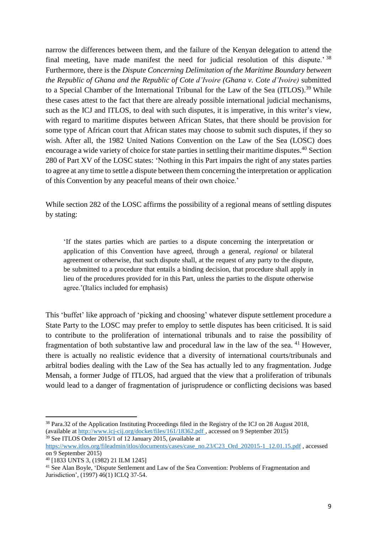narrow the differences between them, and the failure of the Kenyan delegation to attend the final meeting, have made manifest the need for judicial resolution of this dispute.<sup>'38</sup> Furthermore, there is the *Dispute Concerning Delimitation of the Maritime Boundary between the Republic of Ghana and the Republic of Cote d'Ivoire (Ghana v. Cote d'Ivoire)* submitted to a Special Chamber of the International Tribunal for the Law of the Sea (ITLOS).<sup>39</sup> While these cases attest to the fact that there are already possible international judicial mechanisms, such as the ICJ and ITLOS, to deal with such disputes, it is imperative, in this writer's view, with regard to maritime disputes between African States, that there should be provision for some type of African court that African states may choose to submit such disputes, if they so wish. After all, the 1982 United Nations Convention on the Law of the Sea (LOSC) does encourage a wide variety of choice for state parties in settling their maritime disputes.<sup>40</sup> Section 280 of Part XV of the LOSC states: 'Nothing in this Part impairs the right of any states parties to agree at any time to settle a dispute between them concerning the interpretation or application of this Convention by any peaceful means of their own choice.'

While section 282 of the LOSC affirms the possibility of a regional means of settling disputes by stating:

'If the states parties which are parties to a dispute concerning the interpretation or application of this Convention have agreed, through a general, *regional* or bilateral agreement or otherwise, that such dispute shall, at the request of any party to the dispute, be submitted to a procedure that entails a binding decision, that procedure shall apply in lieu of the procedures provided for in this Part, unless the parties to the dispute otherwise agree.'(Italics included for emphasis)

This 'buffet' like approach of 'picking and choosing' whatever dispute settlement procedure a State Party to the LOSC may prefer to employ to settle disputes has been criticised. It is said to contribute to the proliferation of international tribunals and to raise the possibility of fragmentation of both substantive law and procedural law in the law of the sea.  $41$  However, there is actually no realistic evidence that a diversity of international courts/tribunals and arbitral bodies dealing with the Law of the Sea has actually led to any fragmentation. Judge Mensah, a former Judge of ITLOS, had argued that the view that a proliferation of tribunals would lead to a danger of fragmentation of jurisprudence or conflicting decisions was based

<sup>&</sup>lt;sup>38</sup> Para.32 of the Application Instituting Proceedings filed in the Registry of the ICJ on 28 August 2018, (available at <http://www.icj-cij.org/docket/files/161/18362.pdf>, accessed on 9 September 2015)

<sup>39</sup> See ITLOS Order 2015/1 of 12 January 2015, (available at

[https://www.itlos.org/fileadmin/itlos/documents/cases/case\\_no.23/C23\\_Ord\\_202015-1\\_12.01.15.pdf](https://www.itlos.org/fileadmin/itlos/documents/cases/case_no.23/C23_Ord_202015-1_12.01.15.pdf) , accessed on 9 September 2015)

<sup>40</sup> [1833 UNTS 3, (1982) 21 ILM 1245]

<sup>&</sup>lt;sup>41</sup> See Alan Boyle, 'Dispute Settlement and Law of the Sea Convention: Problems of Fragmentation and Jurisdiction', (1997) 46(1) ICLQ 37-54.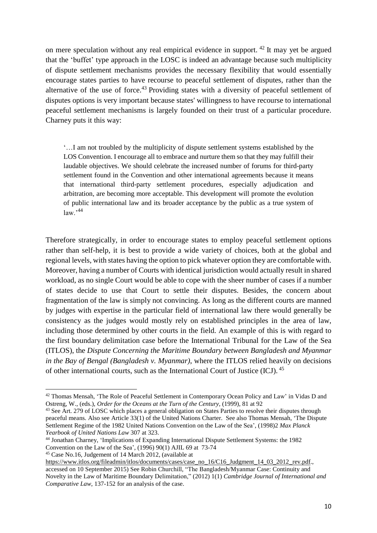on mere speculation without any real empirical evidence in support. <sup>42</sup> It may yet be argued that the 'buffet' type approach in the LOSC is indeed an advantage because such multiplicity of dispute settlement mechanisms provides the necessary flexibility that would essentially encourage states parties to have recourse to peaceful settlement of disputes, rather than the alternative of the use of force.<sup>43</sup> Providing states with a diversity of peaceful settlement of disputes options is very important because states' willingness to have recourse to international peaceful settlement mechanisms is largely founded on their trust of a particular procedure. Charney puts it this way:

'…I am not troubled by the multiplicity of dispute settlement systems established by the LOS Convention. I encourage all to embrace and nurture them so that they may fulfill their laudable objectives. We should celebrate the increased number of forums for third-party settlement found in the Convention and other international agreements because it means that international third-party settlement procedures, especially adjudication and arbitration, are becoming more acceptable. This development will promote the evolution of public international law and its broader acceptance by the public as a true system of  $law.<sup>44</sup>$ 

Therefore strategically, in order to encourage states to employ peaceful settlement options rather than self-help, it is best to provide a wide variety of choices, both at the global and regional levels, with states having the option to pick whatever option they are comfortable with. Moreover, having a number of Courts with identical jurisdiction would actually result in shared workload, as no single Court would be able to cope with the sheer number of cases if a number of states decide to use that Court to settle their disputes. Besides, the concern about fragmentation of the law is simply not convincing. As long as the different courts are manned by judges with expertise in the particular field of international law there would generally be consistency as the judges would mostly rely on established principles in the area of law, including those determined by other courts in the field. An example of this is with regard to the first boundary delimitation case before the International Tribunal for the Law of the Sea (ITLOS), the *Dispute Concerning the Maritime Boundary between Bangladesh and Myanmar in the Bay of Bengal (Bangladesh v. Myanmar)*, where the ITLOS relied heavily on decisions of other international courts, such as the International Court of Justice (ICJ). <sup>45</sup>

<sup>45</sup> Case No.16, Judgement of 14 March 2012, (available at

<sup>42</sup> Thomas Mensah, 'The Role of Peaceful Settlement in Contemporary Ocean Policy and Law' in Vidas D and Ostreng, W., (eds.), *Order for the Oceans at the Turn of the Century*, (1999), 81 at 92

<sup>&</sup>lt;sup>43</sup> See Art. 279 of LOSC which places a general obligation on States Parties to resolve their disputes through peaceful means. Also see Article 33(1) of the United Nations Charter. See also Thomas Mensah, 'The Dispute Settlement Regime of the 1982 United Nations Convention on the Law of the Sea', (1998)2 *Max Planck Yearbook of United Nations Law* 307 at 323.

<sup>44</sup> Jonathan Charney, 'Implications of Expanding International Dispute Settlement Systems: the 1982 Convention on the Law of the Sea',  $(1996)$  90(1) AJIL 69 at 73-74

[https://www.itlos.org/fileadmin/itlos/documents/cases/case\\_no\\_16/C16\\_Judgment\\_14\\_03\\_2012\\_rev.pdf.](https://www.itlos.org/fileadmin/itlos/documents/cases/case_no_16/C16_Judgment_14_03_2012_rev.pdf), accessed on 10 September 2015) See Robin Churchill, "The Bangladesh/Myanmar Case: Continuity and Novelty in the Law of Maritime Boundary Delimitation," (2012) 1(1) *Cambridge Journal of International and Comparative Law*, 137-152 for an analysis of the case.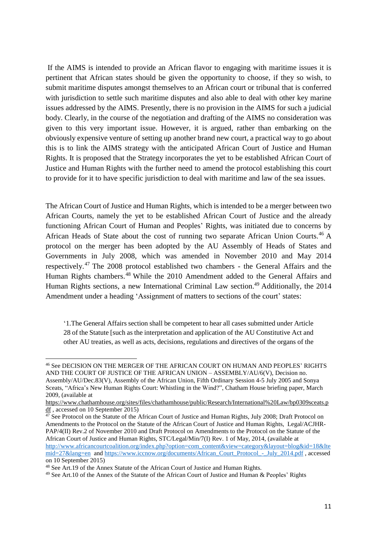If the AIMS is intended to provide an African flavor to engaging with maritime issues it is pertinent that African states should be given the opportunity to choose, if they so wish, to submit maritime disputes amongst themselves to an African court or tribunal that is conferred with jurisdiction to settle such maritime disputes and also able to deal with other key marine issues addressed by the AIMS. Presently, there is no provision in the AIMS for such a judicial body. Clearly, in the course of the negotiation and drafting of the AIMS no consideration was given to this very important issue. However, it is argued, rather than embarking on the obviously expensive venture of setting up another brand new court, a practical way to go about this is to link the AIMS strategy with the anticipated African Court of Justice and Human Rights. It is proposed that the Strategy incorporates the yet to be established African Court of Justice and Human Rights with the further need to amend the protocol establishing this court to provide for it to have specific jurisdiction to deal with maritime and law of the sea issues.

The African Court of Justice and Human Rights, which is intended to be a merger between two African Courts, namely the yet to be established African Court of Justice and the already functioning African Court of Human and Peoples' Rights, was initiated due to concerns by African Heads of State about the cost of running two separate African Union Courts.<sup>46</sup> A protocol on the merger has been adopted by the AU Assembly of Heads of States and Governments in July 2008, which was amended in November 2010 and May 2014 respectively.<sup>47</sup> The 2008 protocol established two chambers - the General Affairs and the Human Rights chambers.<sup>48</sup> While the 2010 Amendment added to the General Affairs and Human Rights sections, a new International Criminal Law section.<sup>49</sup> Additionally, the 2014 Amendment under a heading 'Assignment of matters to sections of the court' states:

'1.The General Affairs section shall be competent to hear all cases submitted under Article 28 of the Statute [such as the interpretation and application of the AU Constitutive Act and other AU treaties, as well as acts, decisions, regulations and directives of the organs of the

 $\overline{a}$ <sup>46</sup> See DECISION ON THE MERGER OF THE AFRICAN COURT ON HUMAN AND PEOPLES' RIGHTS AND THE COURT OF JUSTICE OF THE AFRICAN UNION – ASSEMBLY/AU/6(V), Decision no. Assembly/AU/Dec.83(V), Assembly of the African Union, Fifth Ordinary Session 4-5 July 2005 and Sonya Sceats, "Africa's New Human Rights Court: Whistling in the Wind?", Chatham House briefing paper, March 2009, (available at

[https://www.chathamhouse.org/sites/files/chathamhouse/public/Research/International%20Law/bp0309sceats.p](https://www.chathamhouse.org/sites/files/chathamhouse/public/Research/International%20Law/bp0309sceats.pdf) [df ,](https://www.chathamhouse.org/sites/files/chathamhouse/public/Research/International%20Law/bp0309sceats.pdf) accessed on 10 September 2015)

 $\frac{47}{47}$  See Protocol on the Statute of the African Court of Justice and Human Rights, July 2008; Draft Protocol on Amendments to the Protocol on the Statute of the African Court of Justice and Human Rights, Legal/ACJHR-PAP/4(II) Rev.2 of November 2010 and Draft Protocol on Amendments to the Protocol on the Statute of the African Court of Justice and Human Rights, STC/Legal/Min/7(I) Rev. 1 of May, 2014, (available at [http://www.africancourtcoalition.org/index.php?option=com\\_content&view=category&layout=blog&id=18&Ite](http://www.africancourtcoalition.org/index.php?option=com_content&view=category&layout=blog&id=18&Itemid=27&lang=en) [mid=27&lang=en](http://www.africancourtcoalition.org/index.php?option=com_content&view=category&layout=blog&id=18&Itemid=27&lang=en) and https://www.iccnow.org/documents/African\_Court\_Protocol\_-\_July\_2014.pdf, accessed on 10 September 2015)

<sup>48</sup> See Art.19 of the Annex Statute of the African Court of Justice and Human Rights.

<sup>&</sup>lt;sup>49</sup> See Art.10 of the Annex of the Statute of the African Court of Justice and Human & Peoples' Rights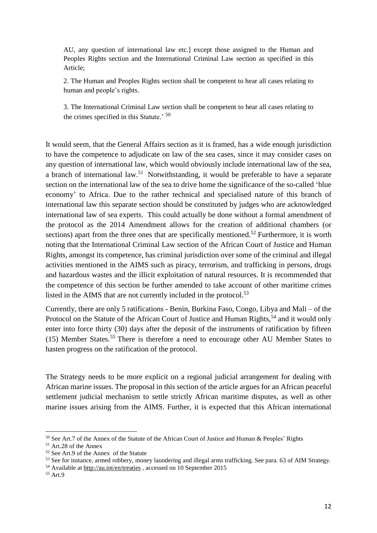AU, any question of international law etc.] except those assigned to the Human and Peoples Rights section and the International Criminal Law section as specified in this Article;

2. The Human and Peoples Rights section shall be competent to hear all cases relating to human and people's rights.

3. The International Criminal Law section shall be competent to hear all cases relating to the crimes specified in this Statute.' <sup>50</sup>

It would seem, that the General Affairs section as it is framed, has a wide enough jurisdiction to have the competence to adjudicate on law of the sea cases, since it may consider cases on any question of international law, which would obviously include international law of the sea, a branch of international law.<sup>51</sup> Notwithstanding, it would be preferable to have a separate section on the international law of the sea to drive home the significance of the so-called 'blue economy' to Africa. Due to the rather technical and specialised nature of this branch of international law this separate section should be constituted by judges who are acknowledged international law of sea experts. This could actually be done without a formal amendment of the protocol as the 2014 Amendment allows for the creation of additional chambers (or sections) apart from the three ones that are specifically mentioned.<sup>52</sup> Furthermore, it is worth noting that the International Criminal Law section of the African Court of Justice and Human Rights, amongst its competence, has criminal jurisdiction over some of the criminal and illegal activities mentioned in the AIMS such as piracy, terrorism, and trafficking in persons, drugs and hazardous wastes and the illicit exploitation of natural resources. It is recommended that the competence of this section be further amended to take account of other maritime crimes listed in the AIMS that are not currently included in the protocol.<sup>53</sup>

Currently, there are only 5 ratifications - Benin, Burkina Faso, Congo, Libya and Mali – of the Protocol on the Statute of the African Court of Justice and Human Rights,<sup>54</sup> and it would only enter into force thirty (30) days after the deposit of the instruments of ratification by fifteen (15) Member States.<sup>55</sup> There is therefore a need to encourage other AU Member States to hasten progress on the ratification of the protocol.

The Strategy needs to be more explicit on a regional judicial arrangement for dealing with African marine issues. The proposal in this section of the article argues for an African peaceful settlement judicial mechanism to settle strictly African maritime disputes, as well as other marine issues arising from the AIMS. Further, it is expected that this African international

<sup>54</sup> Available at [http://au.int/en/treaties ,](http://au.int/en/treaties) accessed on 10 September 2015

<sup>50</sup> See Art.7 of the Annex of the Statute of the African Court of Justice and Human & Peoples' Rights

<sup>51</sup> Art.28 of the Annex

<sup>52</sup> See Art.9 of the Annex of the Statute

<sup>53</sup> See for instance, armed robbery, money laundering and illegal arms trafficking. See para. 63 of AIM Strategy.

<sup>55</sup> Art.9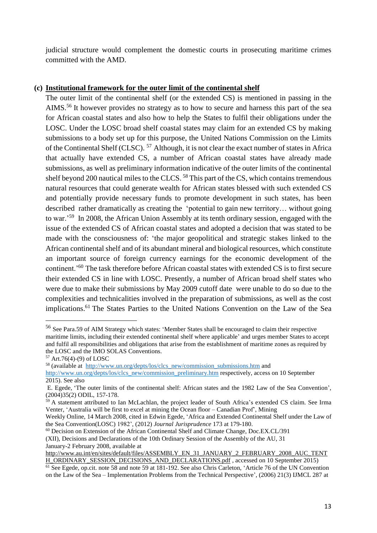judicial structure would complement the domestic courts in prosecuting maritime crimes committed with the AMD.

#### **(c) Institutional framework for the outer limit of the continental shelf**

The outer limit of the continental shelf (or the extended CS) is mentioned in passing in the AIMS.<sup>56</sup> It however provides no strategy as to how to secure and harness this part of the sea for African coastal states and also how to help the States to fulfil their obligations under the LOSC. Under the LOSC broad shelf coastal states may claim for an extended CS by making submissions to a body set up for this purpose, the United Nations Commission on the Limits of the Continental Shelf (CLSC). <sup>57</sup> Although, it is not clear the exact number of states in Africa that actually have extended CS, a number of African coastal states have already made submissions, as well as preliminary information indicative of the outer limits of the continental shelf beyond 200 nautical miles to the CLCS.<sup>58</sup> This part of the CS, which contains tremendous natural resources that could generate wealth for African states blessed with such extended CS and potentially provide necessary funds to promote development in such states, has been described rather dramatically as creating the 'potential to gain new territory… without going to war.<sup>59</sup> In 2008, the African Union Assembly at its tenth ordinary session, engaged with the issue of the extended CS of African coastal states and adopted a decision that was stated to be made with the consciousness of: 'the major geopolitical and strategic stakes linked to the African continental shelf and of its abundant mineral and biological resources, which constitute an important source of foreign currency earnings for the economic development of the continent.'<sup>60</sup> The task therefore before African coastal states with extended CS is to first secure their extended CS in line with LOSC. Presently, a number of African broad shelf states who were due to make their submissions by May 2009 cutoff date were unable to do so due to the complexities and technicalities involved in the preparation of submissions, as well as the cost implications.<sup>61</sup> The States Parties to the United Nations Convention on the Law of the Sea

-

<sup>58</sup> (available at [http://www.un.org/depts/los/clcs\\_new/commission\\_submissions.htm a](http://www.un.org/depts/los/clcs_new/commission_submissions.htm)nd

<sup>56</sup> See Para.59 of AIM Strategy which states: 'Member States shall be encouraged to claim their respective maritime limits, including their extended continental shelf where applicable' and urges member States to accept and fulfil all responsibilities and obligations that arise from the establishment of maritime zones as required by the LOSC and the IMO SOLAS Conventions.

<sup>57</sup> Art.76(4)-(9) of LOSC

[http://www.un.org/depts/los/clcs\\_new/commission\\_preliminary.htm](http://www.un.org/depts/los/clcs_new/commission_preliminary.htm) respectively, access on 10 September 2015). See also

E. Egede, '[The outer limits of the continental shelf: African states and the 1982 Law of the Sea Convention](http://orca.cf.ac.uk/14417)', (2004)35(2) ODIL, 157-178.

<sup>&</sup>lt;sup>59</sup> A statement attributed to Ian McLachlan, the project leader of South Africa's extended CS claim. See Irma Venter, 'Australia will be first to excel at mining the Ocean floor – Canadian Prof', Mining

Weekly Online, 14 March 2008, cited in Edwin Egede, 'Africa and Extended Continental Shelf under the Law of the Sea Convention(LOSC) 1982', (2012) *Journal Jurisprudence* 173 at 179-180.

<sup>60</sup> Decision on Extension of the African Continental Shelf and Climate Change, Doc.EX.CL/391

<sup>(</sup>XII), Decisions and Declarations of the 10th Ordinary Session of the Assembly of the AU, 31 January-2 February 2008, available at

[http://www.au.int/en/sites/default/files/ASSEMBLY\\_EN\\_31\\_JANUARY\\_2\\_FEBRUARY\\_2008\\_AUC\\_TENT](http://www.au.int/en/sites/default/files/ASSEMBLY_EN_31_JANUARY_2_FEBRUARY_2008_AUC_TENTH_ORDINARY_SESSION_DECISIONS_AND_DECLARATIONS.pdf)

[H\\_ORDINARY\\_SESSION\\_DECISIONS\\_AND\\_DECLARATIONS.pdf](http://www.au.int/en/sites/default/files/ASSEMBLY_EN_31_JANUARY_2_FEBRUARY_2008_AUC_TENTH_ORDINARY_SESSION_DECISIONS_AND_DECLARATIONS.pdf) , accessed on 10 September 2015) <sup>61</sup> See Egede, op.cit. note 58 and note 59 at 181-192. See also Chris Carleton, 'Article 76 of the UN Convention on the Law of the Sea – Implementation Problems from the Technical Perspective', (2006) 21(3) IJMCL 287 at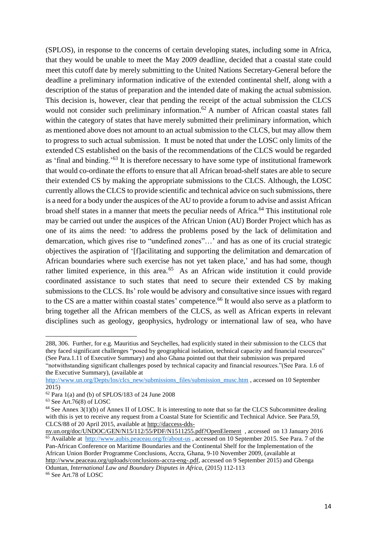(SPLOS), in response to the concerns of certain developing states, including some in Africa, that they would be unable to meet the May 2009 deadline, decided that a coastal state could meet this cutoff date by merely submitting to the United Nations Secretary-General before the deadline a preliminary information indicative of the extended continental shelf, along with a description of the status of preparation and the intended date of making the actual submission. This decision is, however, clear that pending the receipt of the actual submission the CLCS would not consider such preliminary information.<sup>62</sup> A number of African coastal states fall within the category of states that have merely submitted their preliminary information, which as mentioned above does not amount to an actual submission to the CLCS, but may allow them to progress to such actual submission. It must be noted that under the LOSC only limits of the extended CS established on the basis of the recommendations of the CLCS would be regarded as 'final and binding.'<sup>63</sup> It is therefore necessary to have some type of institutional framework that would co-ordinate the efforts to ensure that all African broad-shelf states are able to secure their extended CS by making the appropriate submissions to the CLCS. Although, the LOSC currently allows the CLCS to provide scientific and technical advice on such submissions, there is a need for a body under the auspices of the AU to provide a forum to advise and assist African broad shelf states in a manner that meets the peculiar needs of Africa.<sup>64</sup> This institutional role may be carried out under the auspices of the African Union (AU) Border Project which has as one of its aims the need: 'to address the problems posed by the lack of delimitation and demarcation, which gives rise to "undefined zones"…' and has as one of its crucial strategic objectives the aspiration of '[f]acilitating and supporting the delimitation and demarcation of African boundaries where such exercise has not yet taken place,' and has had some, though rather limited experience, in this area.<sup>65</sup> As an African wide institution it could provide coordinated assistance to such states that need to secure their extended CS by making submissions to the CLCS. Its' role would be advisory and consultative since issues with regard to the CS are a matter within coastal states' competence.<sup>66</sup> It would also serve as a platform to bring together all the African members of the CLCS, as well as African experts in relevant disciplines such as geology, geophysics, hydrology or international law of sea, who have

<sup>288, 306.</sup> Further, for e.g. Mauritius and Seychelles, had explicitly stated in their submission to the CLCS that they faced significant challenges "posed by geographical isolation, technical capacity and financial resources" (See Para.1.11 of Executive Summary) and also Ghana pointed out that their submission was prepared

<sup>&</sup>quot;notwithstanding significant challenges posed by technical capacity and financial resources."(See Para. 1.6 of the Executive Summary), (available at

[http://www.un.org/Depts/los/clcs\\_new/submissions\\_files/submission\\_musc.htm ,](http://www.un.org/Depts/los/clcs_new/submissions_files/submission_musc.htm) accessed on 10 September 2015)

<sup>62</sup> Para 1(a) and (b) of SPLOS/183 of 24 June 2008

<sup>63</sup> See Art.76(8) of LOSC

<sup>&</sup>lt;sup>64</sup> See Annex 3(1)(b) of Annex II of LOSC. It is interesting to note that so far the CLCS Subcommittee dealing with this is yet to receive any request from a Coastal State for Scientific and Technical Advice. See Para.59, CLCS/88 of 20 April 2015, available a[t http://daccess-dds-](http://daccess-dds-ny.un.org/doc/UNDOC/GEN/N15/112/55/PDF/N1511255.pdf?OpenElement)

ny.un.org/doc/UNDOC/GEN/N15/112/55/PDF/N1511255.pdf?OpenElement, accessed on 13 January 2016 <sup>65</sup> Available at http://www.aubis.peaceau.org/fr/about-us, accessed on 10 September 2015. See Para. 7 of the Pan-African Conference on Maritime Boundaries and the Continental Shelf for the Implementation of the African Union Border Programme Conclusions, Accra, Ghana, 9-10 November 2009, (available at [http://www.peaceau.org/uploads/conclusions-accra-eng-.pdf,](http://www.peaceau.org/uploads/conclusions-accra-eng-.pdf) accessed on 9 September 2015) and Gbenga Oduntan, *International Law and Boundary Disputes in Africa*, (2015) 112-113

<sup>66</sup> See Art.78 of LOSC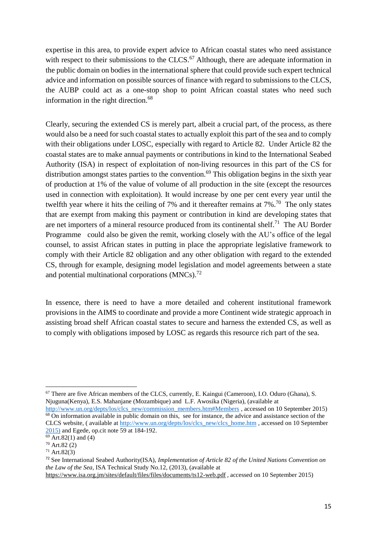expertise in this area, to provide expert advice to African coastal states who need assistance with respect to their submissions to the CLCS.<sup>67</sup> Although, there are adequate information in the public domain on bodies in the international sphere that could provide such expert technical advice and information on possible sources of finance with regard to submissions to the CLCS, the AUBP could act as a one-stop shop to point African coastal states who need such information in the right direction.<sup>68</sup>

Clearly, securing the extended CS is merely part, albeit a crucial part, of the process, as there would also be a need for such coastal states to actually exploit this part of the sea and to comply with their obligations under LOSC, especially with regard to Article 82. Under Article 82 the coastal states are to make annual payments or contributions in kind to the International Seabed Authority (ISA) in respect of exploitation of non-living resources in this part of the CS for distribution amongst states parties to the convention.<sup>69</sup> This obligation begins in the sixth year of production at 1% of the value of volume of all production in the site (except the resources used in connection with exploitation). It would increase by one per cent every year until the twelfth year where it hits the ceiling of 7% and it thereafter remains at 7%.<sup>70</sup> The only states that are exempt from making this payment or contribution in kind are developing states that are net importers of a mineral resource produced from its continental shelf.<sup>71</sup> The AU Border Programme could also be given the remit, working closely with the AU's office of the legal counsel, to assist African states in putting in place the appropriate legislative framework to comply with their Article 82 obligation and any other obligation with regard to the extended CS, through for example, designing model legislation and model agreements between a state and potential multinational corporations  $(MNCs).<sup>72</sup>$ 

In essence, there is need to have a more detailed and coherent institutional framework provisions in the AIMS to coordinate and provide a more Continent wide strategic approach in assisting broad shelf African coastal states to secure and harness the extended CS, as well as to comply with obligations imposed by LOSC as regards this resource rich part of the sea.

 $\overline{a}$ <sup>67</sup> There are five African members of the CLCS, currently, E. Kaingui (Cameroon), I.O. Oduro (Ghana), S. Njuguna(Kenya), E.S. Mahanjane (Mozambique) and L.F. Awosika (Nigeria), (available at

[http://www.un.org/depts/los/clcs\\_new/commission\\_members.htm#Members](http://www.un.org/depts/los/clcs_new/commission_members.htm#Members) , accessed on 10 September 2015) <sup>68</sup> On information available in public domain on this, see for instance, the advice and assistance section of the CLCS website, ( available at [http://www.un.org/depts/los/clcs\\_new/clcs\\_home.htm](http://www.un.org/depts/los/clcs_new/clcs_home.htm) , accessed on 10 September 2015) and Egede, op.cit note 59 at 184-192.

 $\frac{69}{69}$  Art.82(1) and (4)

<sup>70</sup> Art.82 (2)

<sup>71</sup> Art.82(3)

<sup>72</sup> See International Seabed Authority(ISA), *Implementation of Article 82 of the United Nations Convention on the Law of the Sea,* ISA Technical Study No.12, (2013), (available at

<https://www.isa.org.jm/sites/default/files/files/documents/ts12-web.pdf> , accessed on 10 September 2015)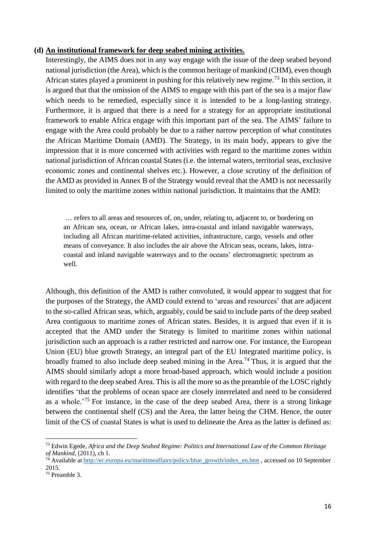#### **(d) An institutional framework for deep seabed mining activities.**

Interestingly, the AIMS does not in any way engage with the issue of the deep seabed beyond national jurisdiction (the Area), which is the common heritage of mankind (CHM), even though African states played a prominent in pushing for this relatively new regime.<sup>73</sup> In this section, it is argued that that the omission of the AIMS to engage with this part of the sea is a major flaw which needs to be remedied, especially since it is intended to be a long-lasting strategy. Furthermore, it is argued that there is a need for a strategy for an appropriate institutional framework to enable Africa engage with this important part of the sea. The AIMS' failure to engage with the Area could probably be due to a rather narrow perception of what constitutes the African Maritime Domain (AMD). The Strategy, in its main body, appears to give the impression that it is more concerned with activities with regard to the maritime zones within national jurisdiction of African coastal States (i.e. the internal waters, territorial seas, exclusive economic zones and continental shelves etc.). However, a close scrutiny of the definition of the AMD as provided in Annex B of the Strategy would reveal that the AMD is not necessarily limited to only the maritime zones within national jurisdiction. It maintains that the AMD:

… refers to all areas and resources of, on, under, relating to, adjacent to, or bordering on an African sea, ocean, or African lakes, intra-coastal and inland navigable waterways, including all African maritime-related activities, infrastructure, cargo, vessels and other means of conveyance. It also includes the air above the African seas, oceans, lakes, intracoastal and inland navigable waterways and to the oceans' electromagnetic spectrum as well.

Although, this definition of the AMD is rather convoluted, it would appear to suggest that for the purposes of the Strategy, the AMD could extend to 'areas and resources' that are adjacent to the so-called African seas, which, arguably, could be said to include parts of the deep seabed Area contiguous to maritime zones of African states. Besides, it is argued that even if it is accepted that the AMD under the Strategy is limited to maritime zones within national jurisdiction such an approach is a rather restricted and narrow one. For instance, the European Union (EU) blue growth Strategy, an integral part of the EU Integrated maritime policy, is broadly framed to also include deep seabed mining in the Area.<sup>74</sup> Thus, it is argued that the AIMS should similarly adopt a more broad-based approach, which would include a position with regard to the deep seabed Area. This is all the more so as the preamble of the LOSC rightly identifies 'that the problems of ocean space are closely interrelated and need to be considered as a whole.'<sup>75</sup> For instance, in the case of the deep seabed Area, there is a strong linkage between the continental shelf (CS) and the Area, the latter being the CHM. Hence, the outer limit of the CS of coastal States is what is used to delineate the Area as the latter is defined as:

<sup>73</sup> Edwin Egede*, Africa and the Deep Seabed Regime: Politics and International Law of the Common Heritage of Mankind*, (2011), ch 1.

<sup>&</sup>lt;sup>74</sup> Available at [http://ec.europa.eu/maritimeaffairs/policy/blue\\_growth/index\\_en.htm](http://ec.europa.eu/maritimeaffairs/policy/blue_growth/index_en.htm) , accessed on 10 September 2015.

<sup>75</sup> Preamble 3.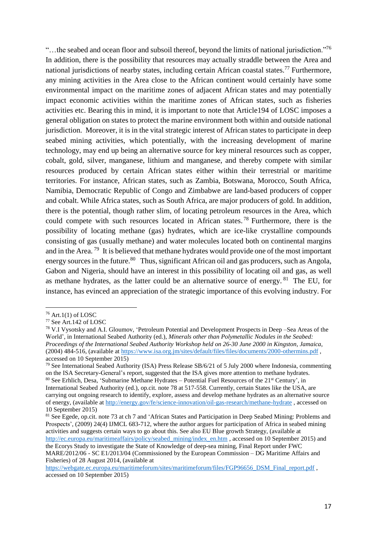"...the seabed and ocean floor and subsoil thereof, beyond the limits of national jurisdiction."<sup>76</sup> In addition, there is the possibility that resources may actually straddle between the Area and national jurisdictions of nearby states, including certain African coastal states.<sup>77</sup> Furthermore, any mining activities in the Area close to the African continent would certainly have some environmental impact on the maritime zones of adjacent African states and may potentially impact economic activities within the maritime zones of African states, such as fisheries activities etc. Bearing this in mind, it is important to note that Article194 of LOSC imposes a general obligation on states to protect the marine environment both within and outside national jurisdiction. Moreover, it is in the vital strategic interest of African states to participate in deep seabed mining activities, which potentially, with the increasing development of marine technology, may end up being an alternative source for key mineral resources such as copper, cobalt, gold, silver, manganese, lithium and manganese, and thereby compete with similar resources produced by certain African states either within their terrestrial or maritime territories. For instance, African states, such as Zambia, Botswana, Morocco, South Africa, Namibia, Democratic Republic of Congo and Zimbabwe are land-based producers of copper and cobalt. While Africa states, such as South Africa, are major producers of gold. In addition, there is the potential, though rather slim, of locating petroleum resources in the Area, which could compete with such resources located in African states. <sup>78</sup> Furthermore, there is the possibility of locating methane (gas) hydrates, which are ice-like crystalline compounds consisting of gas (usually methane) and water molecules located both on continental margins and in the Area.<sup>79</sup> It is believed that methane hydrates would provide one of the most important energy sources in the future.<sup>80</sup> Thus, significant African oil and gas producers, such as Angola, Gabon and Nigeria, should have an interest in this possibility of locating oil and gas, as well as methane hydrates, as the latter could be an alternative source of energy. <sup>81</sup> The EU, for instance, has evinced an appreciation of the strategic importance of this evolving industry. For

 $76$  Art.1(1) of LOSC

<sup>77</sup> See Art.142 of LOSC

<sup>78</sup> V.I Vysotsky and A.I. Gloumov, 'Petroleum Potential and Development Prospects in Deep –Sea Areas of the World', in International Seabed Authority (ed.), *Minerals other than Polymetallic Nodules in the Seabed: Proceedings of the International Seabed Authority Workshop held on 26-30 June 2000 in Kingston, Jamaica*, (2004) 484-516, (available at <https://www.isa.org.jm/sites/default/files/files/documents/2000-othermins.pdf>, accessed on 10 September 2015)

<sup>79</sup> See International Seabed Authority (ISA) Press Release SB/6/21 of 5 July 2000 where Indonesia, commenting on the ISA Secretary-General's report, suggested that the ISA gives more attention to methane hydrates. 80 See Erhlich, Desa, 'Submarine Methane Hydrates – Potential Fuel Resources of the 21<sup>st</sup> Century', in International Seabed Authority (ed.), op.cit. note 78 at 517-558. Currently, certain States like the USA, are carrying out ongoing research to identify, explore, assess and develop methane hydrates as an alternative source of energy, (available at <http://energy.gov/fe/science-innovation/oil-gas-research/methane-hydrate>, accessed on 10 September 2015)

<sup>81</sup> See Egede*,* op.cit. note 73 at ch 7 and 'African States and Participation in Deep Seabed Mining: Problems and Prospects', (2009) 24(4) IJMCL 683-712, where the author argues for participation of Africa in seabed mining activities and suggests certain ways to go about this. See also EU Blue growth Strategy, (available at [http://ec.europa.eu/maritimeaffairs/policy/seabed\\_mining/index\\_en.htm ,](http://ec.europa.eu/maritimeaffairs/policy/seabed_mining/index_en.htm) accessed on 10 September 2015) and the Ecorys Study to investigate the State of Knowledge of deep-sea mining, Final Report under FWC MARE/2012/06 - SC E1/2013/04 (Commissioned by the European Commission – DG Maritime Affairs and Fisheries) of 28 August 2014, (available at

[https://webgate.ec.europa.eu/maritimeforum/sites/maritimeforum/files/FGP96656\\_DSM\\_Final\\_report.pdf](https://webgate.ec.europa.eu/maritimeforum/sites/maritimeforum/files/FGP96656_DSM_Final_report.pdf) , accessed on 10 September 2015)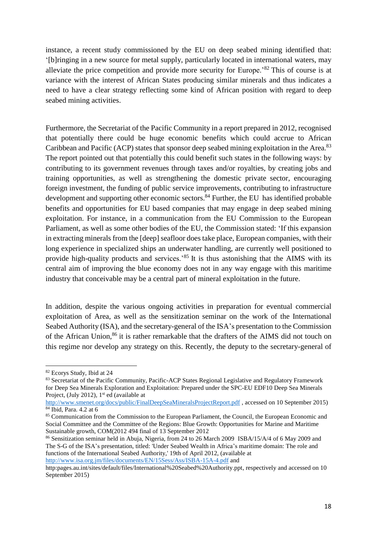instance, a recent study commissioned by the EU on deep seabed mining identified that: '[b]ringing in a new source for metal supply, particularly located in international waters, may alleviate the price competition and provide more security for Europe.'<sup>82</sup> This of course is at variance with the interest of African States producing similar minerals and thus indicates a need to have a clear strategy reflecting some kind of African position with regard to deep seabed mining activities.

Furthermore, the Secretariat of the Pacific Community in a report prepared in 2012, recognised that potentially there could be huge economic benefits which could accrue to African Caribbean and Pacific (ACP) states that sponsor deep seabed mining exploitation in the Area.<sup>83</sup> The report pointed out that potentially this could benefit such states in the following ways: by contributing to its government revenues through taxes and/or royalties, by creating jobs and training opportunities, as well as strengthening the domestic private sector, encouraging foreign investment, the funding of public service improvements, contributing to infrastructure development and supporting other economic sectors.<sup>84</sup> Further, the EU has identified probable benefits and opportunities for EU based companies that may engage in deep seabed mining exploitation. For instance, in a communication from the EU Commission to the European Parliament, as well as some other bodies of the EU, the Commission stated: 'If this expansion in extracting minerals from the [deep] seafloor does take place, European companies, with their long experience in specialized ships an underwater handling, are currently well positioned to provide high-quality products and services.'<sup>85</sup> It is thus astonishing that the AIMS with its central aim of improving the blue economy does not in any way engage with this maritime industry that conceivable may be a central part of mineral exploitation in the future.

In addition, despite the various ongoing activities in preparation for eventual commercial exploitation of Area, as well as the sensitization seminar on the work of the International Seabed Authority (ISA), and the secretary-general of the ISA's presentation to the Commission of the African Union,<sup>86</sup> it is rather remarkable that the drafters of the AIMS did not touch on this regime nor develop any strategy on this. Recently, the deputy to the secretary-general of

<sup>82</sup> Ecorys Study, Ibid at 24

<sup>83</sup> Secretariat of the Pacific Community, Pacific-ACP States Regional Legislative and Regulatory Framework for Deep Sea Minerals Exploration and Exploitation: Prepared under the SPC-EU EDF10 Deep Sea Minerals Project, (July 2012), 1<sup>st</sup> ed (available at

<http://www.smenet.org/docs/public/FinalDeepSeaMineralsProjectReport.pdf>, accessed on 10 September 2015) <sup>84</sup> Ibid, Para. 4.2 at 6

<sup>&</sup>lt;sup>85</sup> Communication from the Commission to the European Parliament, the Council, the European Economic and Social Committee and the Committee of the Regions: Blue Growth: Opportunities for Marine and Maritime Sustainable growth, COM(2012 494 final of 13 September 2012

<sup>86</sup> Sensitization seminar held in Abuja, Nigeria, from 24 to 26 March 2009 ISBA/15/A/4 of 6 May 2009 and The S-G of the ISA's presentation, titled: 'Under Seabed Wealth in Africa's maritime domain: The role and functions of the International Seabed Authority,' 19th of April 2012, (available at <http://www.isa.org.jm/files/documents/EN/15Sess/Ass/ISBA-15A-4.pdf>and

http:pages.au.int/sites/default/files/International%20Seabed%20Authority.ppt, respectively and accessed on 10 September 2015)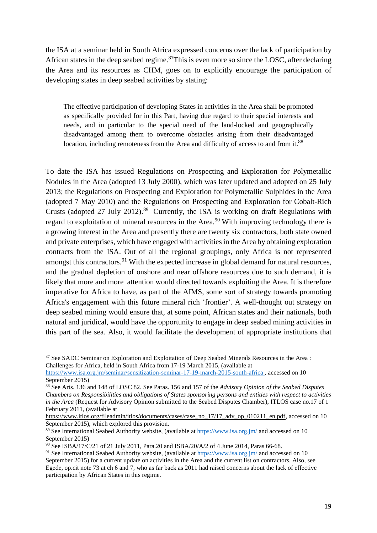the ISA at a seminar held in South Africa expressed concerns over the lack of participation by African states in the deep seabed regime.<sup>87</sup>This is even more so since the LOSC, after declaring the Area and its resources as CHM, goes on to explicitly encourage the participation of developing states in deep seabed activities by stating:

The effective participation of developing States in activities in the Area shall be promoted as specifically provided for in this Part, having due regard to their special interests and needs, and in particular to the special need of the land-locked and geographically disadvantaged among them to overcome obstacles arising from their disadvantaged location, including remoteness from the Area and difficulty of access to and from it.<sup>88</sup>

To date the ISA has issued Regulations on Prospecting and Exploration for Polymetallic Nodules in the Area (adopted 13 July 2000), which was later updated and adopted on 25 July 2013; the Regulations on Prospecting and Exploration for Polymetallic Sulphides in the Area (adopted 7 May 2010) and the Regulations on Prospecting and Exploration for Cobalt-Rich Crusts (adopted 27 July 2012).<sup>89</sup> Currently, the ISA is working on draft Regulations with regard to exploitation of mineral resources in the Area.<sup>90</sup> With improving technology there is a growing interest in the Area and presently there are twenty six contractors, both state owned and private enterprises, which have engaged with activities in the Area by obtaining exploration contracts from the ISA. Out of all the regional groupings, only Africa is not represented amongst this contractors.<sup>91</sup> With the expected increase in global demand for natural resources, and the gradual depletion of onshore and near offshore resources due to such demand, it is likely that more and more attention would directed towards exploiting the Area. It is therefore imperative for Africa to have, as part of the AIMS, some sort of strategy towards promoting Africa's engagement with this future mineral rich 'frontier'. A well-thought out strategy on deep seabed mining would ensure that, at some point, African states and their nationals, both natural and juridical, would have the opportunity to engage in deep seabed mining activities in this part of the sea. Also, it would facilitate the development of appropriate institutions that

<sup>&</sup>lt;sup>87</sup> See SADC Seminar on Exploration and Exploitation of Deep Seabed Minerals Resources in the Area : Challenges for Africa*,* held in South Africa from 17-19 March 2015, (available at

https://www.isa.org.jm/seminar/sensitization-seminar-17-19-march-2015-south-africa, accessed on 10 September 2015)

<sup>88</sup> See Arts. 136 and 148 of LOSC 82. See Paras. 156 and 157 of the *Advisory Opinion of the Seabed Disputes Chambers on Responsibilities and obligations of States sponsoring persons and entities with respect to activities in the Area* (Request for Advisory Opinion submitted to the Seabed Disputes Chamber), ITLOS case no.17 of 1 February 2011, (available at

[https://www.itlos.org/fileadmin/itlos/documents/cases/case\\_no\\_17/17\\_adv\\_op\\_010211\\_en.pdf,](https://www.itlos.org/fileadmin/itlos/documents/cases/case_no_17/17_adv_op_010211_en.pdf) accessed on 10 September 2015), which explored this provision.

<sup>89</sup> See International Seabed Authority website, (available at <https://www.isa.org.jm/>and accessed on 10 September 2015)

<sup>&</sup>lt;sup>90</sup> See ISBA/17/C/21 of 21 July 2011, Para.20 and ISBA/20/A/2 of 4 June 2014, Paras 66-68.

<sup>&</sup>lt;sup>91</sup> See International Seabed Authority website, (available at <https://www.isa.org.jm/>and accessed on 10 September 2015) for a current update on activities in the Area and the current list on contractors. Also, see Egede*,* op.cit note 73 at ch 6 and 7*,* who as far back as 2011 had raised concerns about the lack of effective participation by African States in this regime.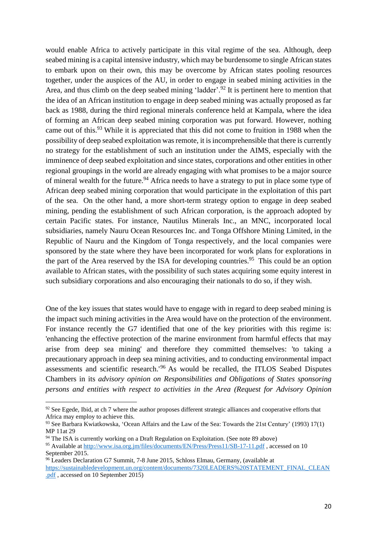would enable Africa to actively participate in this vital regime of the sea. Although, deep seabed mining is a capital intensive industry, which may be burdensome to single African states to embark upon on their own, this may be overcome by African states pooling resources together, under the auspices of the AU, in order to engage in seabed mining activities in the Area, and thus climb on the deep seabed mining 'ladder'.<sup>92</sup> It is pertinent here to mention that the idea of an African institution to engage in deep seabed mining was actually proposed as far back as 1988, during the third regional minerals conference held at Kampala, where the idea of forming an African deep seabed mining corporation was put forward. However, nothing came out of this.<sup>93</sup> While it is appreciated that this did not come to fruition in 1988 when the possibility of deep seabed exploitation was remote, it is incomprehensible that there is currently no strategy for the establishment of such an institution under the AIMS, especially with the imminence of deep seabed exploitation and since states, corporations and other entities in other regional groupings in the world are already engaging with what promises to be a major source of mineral wealth for the future.<sup>94</sup> Africa needs to have a strategy to put in place some type of African deep seabed mining corporation that would participate in the exploitation of this part of the sea. On the other hand, a more short-term strategy option to engage in deep seabed mining, pending the establishment of such African corporation, is the approach adopted by certain Pacific states. For instance, Nautilus Minerals Inc., an MNC, incorporated local subsidiaries, namely Nauru Ocean Resources Inc. and Tonga Offshore Mining Limited, in the Republic of Nauru and the Kingdom of Tonga respectively, and the local companies were sponsored by the state where they have been incorporated for work plans for explorations in the part of the Area reserved by the ISA for developing countries.<sup>95</sup> This could be an option available to African states, with the possibility of such states acquiring some equity interest in such subsidiary corporations and also encouraging their nationals to do so, if they wish.

One of the key issues that states would have to engage with in regard to deep seabed mining is the impact such mining activities in the Area would have on the protection of the environment. For instance recently the G7 identified that one of the key priorities with this regime is: 'enhancing the effective protection of the marine environment from harmful effects that may arise from deep sea mining' and therefore they committed themselves: 'to taking a precautionary approach in deep sea mining activities, and to conducting environmental impact assessments and scientific research.'<sup>96</sup> As would be recalled, the ITLOS Seabed Disputes Chambers in its *advisory opinion on Responsibilities and Obligations of States sponsoring persons and entities with respect to activities in the Area (Request for Advisory Opinion* 

<sup>&</sup>lt;sup>92</sup> See Egede, Ibid, at ch 7 where the author proposes different strategic alliances and cooperative efforts that Africa may employ to achieve this.

<sup>93</sup> See Barbara Kwiatkowska, 'Ocean Affairs and the Law of the Sea: Towards the 21st Century' (1993) 17(1) MP 11at 29

<sup>&</sup>lt;sup>94</sup> The ISA is currently working on a Draft Regulation on Exploitation. (See note 89 above) 95 Available at http://www.isa.org.jm/files/documents/EN/Press/Press11/SB-17-11.pdf, accessed on 10 September 2015.

<sup>96</sup> Leaders Declaration G7 Summit, 7-8 June 2015, Schloss Elmau, Germany, (available at [https://sustainabledevelopment.un.org/content/documents/7320LEADERS%20STATEMENT\\_FINAL\\_CLEAN](https://sustainabledevelopment.un.org/content/documents/7320LEADERS%20STATEMENT_FINAL_CLEAN.pdf) [.pdf](https://sustainabledevelopment.un.org/content/documents/7320LEADERS%20STATEMENT_FINAL_CLEAN.pdf) , accessed on 10 September 2015)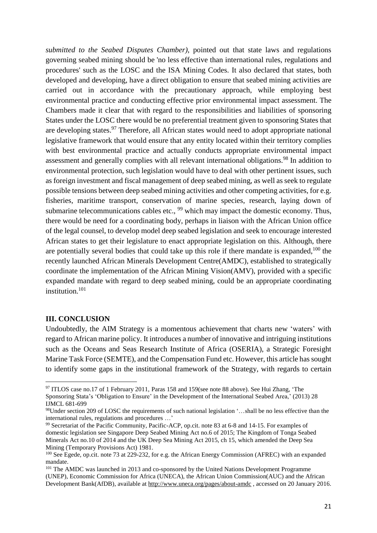*submitted to the Seabed Disputes Chamber)*, pointed out that state laws and regulations governing seabed mining should be 'no less effective than international rules, regulations and procedures' such as the LOSC and the ISA Mining Codes. It also declared that states, both developed and developing, have a direct obligation to ensure that seabed mining activities are carried out in accordance with the precautionary approach, while employing best environmental practice and conducting effective prior environmental impact assessment. The Chambers made it clear that with regard to the responsibilities and liabilities of sponsoring States under the LOSC there would be no preferential treatment given to sponsoring States that are developing states.<sup>97</sup> Therefore, all African states would need to adopt appropriate national legislative framework that would ensure that any entity located within their territory complies with best environmental practice and actually conducts appropriate environmental impact assessment and generally complies with all relevant international obligations.<sup>98</sup> In addition to environmental protection, such legislation would have to deal with other pertinent issues, such as foreign investment and fiscal management of deep seabed mining, as well as seek to regulate possible tensions between deep seabed mining activities and other competing activities, for e.g. fisheries, maritime transport, conservation of marine species, research, laying down of submarine telecommunications cables etc.,  $99$  which may impact the domestic economy. Thus, there would be need for a coordinating body, perhaps in liaison with the African Union office of the legal counsel, to develop model deep seabed legislation and seek to encourage interested African states to get their legislature to enact appropriate legislation on this. Although, there are potentially several bodies that could take up this role if there mandate is expanded, $100$  the recently launched African Minerals Development Centre(AMDC), established to strategically coordinate the implementation of the African Mining Vision(AMV), provided with a specific expanded mandate with regard to deep seabed mining, could be an appropriate coordinating institution.<sup>101</sup>

#### **III. CONCLUSION**

Undoubtedly, the AIM Strategy is a momentous achievement that charts new 'waters' with regard to African marine policy. It introduces a number of innovative and intriguing institutions such as the Oceans and Seas Research Institute of Africa (OSERIA), a Strategic Foresight Marine Task Force (SEMTE), and the Compensation Fund etc. However, this article has sought to identify some gaps in the institutional framework of the Strategy, with regards to certain

 $\overline{a}$ <sup>97</sup> ITLOS case no.17 of 1 February 2011, Paras 158 and 159(see note 88 above). See Hui Zhang, 'The Sponsoring Stata's 'Obligation to Ensure' in the Development of the International Seabed Area,' (2013) 28 IJMCL 681-699

<sup>98</sup>Under section 209 of LOSC the requirements of such national legislation '…shall be no less effective than the international rules, regulations and procedures …'

<sup>99</sup> Secretariat of the Pacific Community, Pacific-ACP, op.cit. note 83 at 6-8 and 14-15. For examples of domestic legislation see Singapore Deep Seabed Mining Act no.6 of 2015; The Kingdom of Tonga Seabed Minerals Act no.10 of 2014 and the UK Deep Sea Mining Act 2015, ch 15, which amended the Deep Sea Mining (Temporary Provisions Act) 1981.

<sup>&</sup>lt;sup>100</sup> See Egede, op.cit. note 73 at 229-232, for e.g. the African Energy Commission (AFREC) with an expanded mandate.

<sup>&</sup>lt;sup>101</sup> The AMDC was launched in 2013 and co-sponsored by the United Nations Development Programme (UNEP), Economic Commission for Africa (UNECA), the African Union Commission(AUC) and the African Development Bank(AfDB), available at http://www.uneca.org/pages/about-amdc, accessed on 20 January 2016.